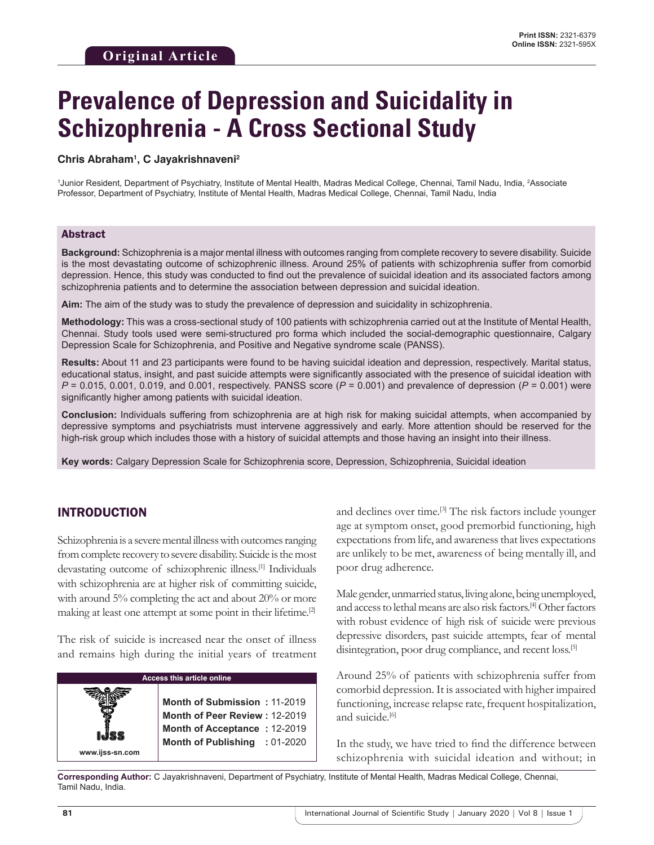# **Prevalence of Depression and Suicidality in Schizophrenia - A Cross Sectional Study**

#### **Chris Abraham1 , C Jayakrishnaveni2**

1 Junior Resident, Department of Psychiatry, Institute of Mental Health, Madras Medical College, Chennai, Tamil Nadu, India, 2 Associate Professor, Department of Psychiatry, Institute of Mental Health, Madras Medical College, Chennai, Tamil Nadu, India

#### Abstract

**Background:** Schizophrenia is a major mental illness with outcomes ranging from complete recovery to severe disability. Suicide is the most devastating outcome of schizophrenic illness. Around 25% of patients with schizophrenia suffer from comorbid depression. Hence, this study was conducted to find out the prevalence of suicidal ideation and its associated factors among schizophrenia patients and to determine the association between depression and suicidal ideation.

**Aim:** The aim of the study was to study the prevalence of depression and suicidality in schizophrenia.

**Methodology:** This was a cross-sectional study of 100 patients with schizophrenia carried out at the Institute of Mental Health, Chennai. Study tools used were semi-structured pro forma which included the social-demographic questionnaire, Calgary Depression Scale for Schizophrenia, and Positive and Negative syndrome scale (PANSS).

**Results:** About 11 and 23 participants were found to be having suicidal ideation and depression, respectively. Marital status, educational status, insight, and past suicide attempts were significantly associated with the presence of suicidal ideation with *P* = 0.015, 0.001, 0.019, and 0.001, respectively. PANSS score (*P* = 0.001) and prevalence of depression (*P* = 0.001) were significantly higher among patients with suicidal ideation.

**Conclusion:** Individuals suffering from schizophrenia are at high risk for making suicidal attempts, when accompanied by depressive symptoms and psychiatrists must intervene aggressively and early. More attention should be reserved for the high-risk group which includes those with a history of suicidal attempts and those having an insight into their illness.

**Key words:** Calgary Depression Scale for Schizophrenia score, Depression, Schizophrenia, Suicidal ideation

## INTRODUCTION

Schizophrenia is a severe mental illness with outcomes ranging from complete recovery to severe disability. Suicide is the most devastating outcome of schizophrenic illness.[1] Individuals with schizophrenia are at higher risk of committing suicide, with around 5% completing the act and about 20% or more making at least one attempt at some point in their lifetime.<sup>[2]</sup>

The risk of suicide is increased near the onset of illness and remains high during the initial years of treatment

| Access this article online |                                                               |  |  |  |  |
|----------------------------|---------------------------------------------------------------|--|--|--|--|
|                            | Month of Submission: 11-2019<br>Month of Peer Review: 12-2019 |  |  |  |  |
| www.ijss-sn.com            | Month of Acceptance: 12-2019<br>Month of Publishing : 01-2020 |  |  |  |  |

and declines over time.[3] The risk factors include younger age at symptom onset, good premorbid functioning, high expectations from life, and awareness that lives expectations are unlikely to be met, awareness of being mentally ill, and poor drug adherence.

Male gender, unmarried status, living alone, being unemployed, and access to lethal means are also risk factors.[4] Other factors with robust evidence of high risk of suicide were previous depressive disorders, past suicide attempts, fear of mental disintegration, poor drug compliance, and recent loss.<sup>[5]</sup>

Around 25% of patients with schizophrenia suffer from comorbid depression. It is associated with higher impaired functioning, increase relapse rate, frequent hospitalization, and suicide.<sup>[6]</sup>

In the study, we have tried to find the difference between schizophrenia with suicidal ideation and without; in

**Corresponding Author:** C Jayakrishnaveni, Department of Psychiatry, Institute of Mental Health, Madras Medical College, Chennai, Tamil Nadu, India.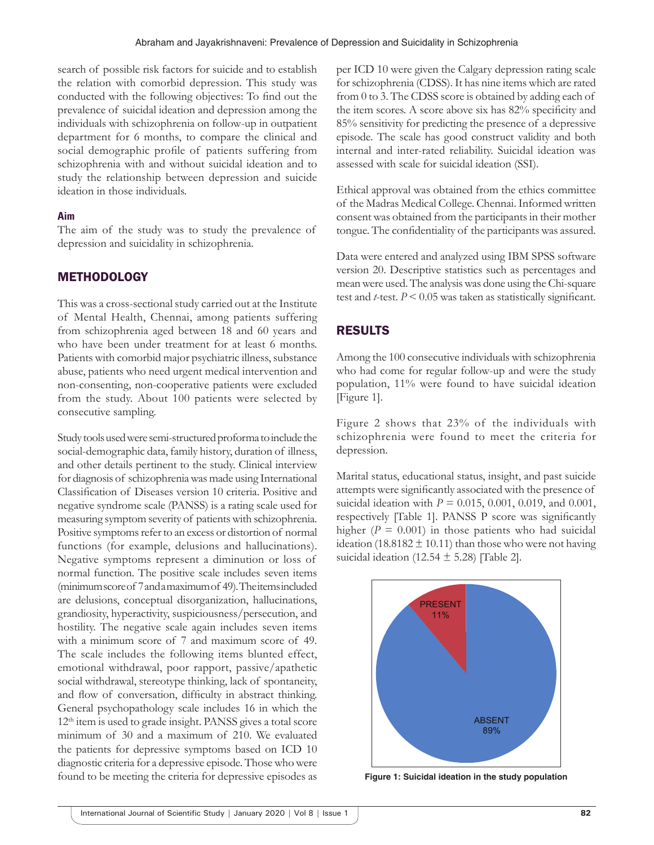search of possible risk factors for suicide and to establish the relation with comorbid depression. This study was conducted with the following objectives: To find out the prevalence of suicidal ideation and depression among the individuals with schizophrenia on follow-up in outpatient department for 6 months, to compare the clinical and social demographic profile of patients suffering from schizophrenia with and without suicidal ideation and to study the relationship between depression and suicide ideation in those individuals.

#### **Aim**

The aim of the study was to study the prevalence of depression and suicidality in schizophrenia.

## **METHODOLOGY**

This was a cross-sectional study carried out at the Institute of Mental Health, Chennai, among patients suffering from schizophrenia aged between 18 and 60 years and who have been under treatment for at least 6 months. Patients with comorbid major psychiatric illness, substance abuse, patients who need urgent medical intervention and non-consenting, non-cooperative patients were excluded from the study. About 100 patients were selected by consecutive sampling.

Study tools used were semi-structured proforma to include the social-demographic data, family history, duration of illness, and other details pertinent to the study. Clinical interview for diagnosis of schizophrenia was made using International Classification of Diseases version 10 criteria. Positive and negative syndrome scale (PANSS) is a rating scale used for measuring symptom severity of patients with schizophrenia. Positive symptoms refer to an excess or distortion of normal functions (for example, delusions and hallucinations). Negative symptoms represent a diminution or loss of normal function. The positive scale includes seven items (minimum score of 7 and a maximum of 49). The items included are delusions, conceptual disorganization, hallucinations, grandiosity, hyperactivity, suspiciousness/persecution, and hostility. The negative scale again includes seven items with a minimum score of 7 and maximum score of 49. The scale includes the following items blunted effect, emotional withdrawal, poor rapport, passive/apathetic social withdrawal, stereotype thinking, lack of spontaneity, and flow of conversation, difficulty in abstract thinking. General psychopathology scale includes 16 in which the 12<sup>th</sup> item is used to grade insight. PANSS gives a total score minimum of 30 and a maximum of 210. We evaluated the patients for depressive symptoms based on ICD 10 diagnostic criteria for a depressive episode. Those who were found to be meeting the criteria for depressive episodes as per ICD 10 were given the Calgary depression rating scale for schizophrenia (CDSS). It has nine items which are rated from 0 to 3. The CDSS score is obtained by adding each of the item scores. A score above six has 82% specificity and 85% sensitivity for predicting the presence of a depressive episode. The scale has good construct validity and both internal and inter-rated reliability. Suicidal ideation was assessed with scale for suicidal ideation (SSI).

Ethical approval was obtained from the ethics committee of the Madras Medical College. Chennai. Informed written consent was obtained from the participants in their mother tongue. The confidentiality of the participants was assured.

Data were entered and analyzed using IBM SPSS software version 20. Descriptive statistics such as percentages and mean were used. The analysis was done using the Chi-square test and *t*-test.  $P \le 0.05$  was taken as statistically significant.

## RESULTS

Among the 100 consecutive individuals with schizophrenia who had come for regular follow-up and were the study population, 11% were found to have suicidal ideation [Figure 1].

Figure 2 shows that 23% of the individuals with schizophrenia were found to meet the criteria for depression.

Marital status, educational status, insight, and past suicide attempts were significantly associated with the presence of suicidal ideation with *P* = 0.015, 0.001, 0.019, and 0.001, respectively [Table 1]. PANSS P score was significantly higher  $(P = 0.001)$  in those patients who had suicidal ideation (18.8182  $\pm$  10.11) than those who were not having suicidal ideation (12.54  $\pm$  5.28) [Table 2].



**Figure 1: Suicidal ideation in the study population**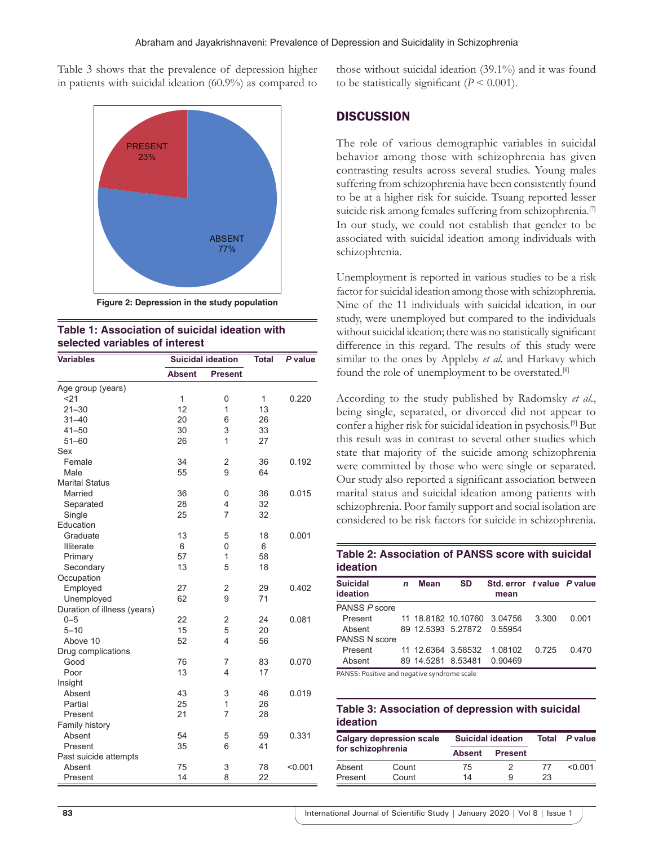Table 3 shows that the prevalence of depression higher in patients with suicidal ideation (60.9%) as compared to



**Figure 2: Depression in the study population**



| <b>Variables</b>            |               | <b>Suicidal ideation</b> | <b>Total</b> | P value |
|-----------------------------|---------------|--------------------------|--------------|---------|
|                             | <b>Absent</b> | <b>Present</b>           |              |         |
| Age group (years)           |               |                          |              |         |
| 321                         | 1             | 0                        | 1            | 0.220   |
| $21 - 30$                   | 12            | 1                        | 13           |         |
| $31 - 40$                   | 20            | 6                        | 26           |         |
| $41 - 50$                   | 30            | 3                        | 33           |         |
| $51 - 60$                   | 26            | 1                        | 27           |         |
| Sex                         |               |                          |              |         |
| Female                      | 34            | $\overline{2}$           | 36           | 0.192   |
| Male                        | 55            | 9                        | 64           |         |
| <b>Marital Status</b>       |               |                          |              |         |
| Married                     | 36            | 0                        | 36           | 0.015   |
| Separated                   | 28            | 4                        | 32           |         |
| Single                      | 25            | $\overline{7}$           | 32           |         |
| Education                   |               |                          |              |         |
| Graduate                    | 13            | 5                        | 18           | 0.001   |
| <b>Illiterate</b>           | 6             | 0                        | 6            |         |
| Primary                     | 57            | 1                        | 58           |         |
| Secondary                   | 13            | 5                        | 18           |         |
| Occupation                  |               |                          |              |         |
| Employed                    | 27            | 2                        | 29           | 0.402   |
| Unemployed                  | 62            | 9                        | 71           |         |
| Duration of illness (years) |               |                          |              |         |
| $0 - 5$                     | 22            | 2                        | 24           | 0.081   |
| $5 - 10$                    | 15            | 5                        | 20           |         |
| Above 10                    | 52            | 4                        | 56           |         |
| Drug complications          |               |                          |              |         |
| Good                        | 76            | 7                        | 83           | 0.070   |
| Poor                        | 13            | 4                        | 17           |         |
| Insight                     |               |                          |              |         |
| Absent                      | 43            | 3                        | 46           | 0.019   |
| Partial                     | 25            | 1                        | 26           |         |
| Present                     | 21            | 7                        | 28           |         |
| Family history              |               |                          |              |         |
| Absent                      | 54            | 5                        | 59           | 0.331   |
| Present                     | 35            | 6                        | 41           |         |
| Past suicide attempts       |               |                          |              |         |
| Absent                      | 75            | 3                        | 78           | < 0.001 |
| Present                     | 14            | 8                        | 22           |         |

those without suicidal ideation (39.1%) and it was found to be statistically significant  $(P \le 0.001)$ .

## **DISCUSSION**

The role of various demographic variables in suicidal behavior among those with schizophrenia has given contrasting results across several studies. Young males suffering from schizophrenia have been consistently found to be at a higher risk for suicide. Tsuang reported lesser suicide risk among females suffering from schizophrenia.<sup>[7]</sup> In our study, we could not establish that gender to be associated with suicidal ideation among individuals with schizophrenia.

Unemployment is reported in various studies to be a risk factor for suicidal ideation among those with schizophrenia. Nine of the 11 individuals with suicidal ideation, in our study, were unemployed but compared to the individuals without suicidal ideation; there was no statistically significant difference in this regard. The results of this study were similar to the ones by Appleby *et al*. and Harkavy which found the role of unemployment to be overstated.<sup>[8]</sup>

According to the study published by Radomsky *et al*., being single, separated, or divorced did not appear to confer a higher risk for suicidal ideation in psychosis.[9] But this result was in contrast to several other studies which state that majority of the suicide among schizophrenia were committed by those who were single or separated. Our study also reported a significant association between marital status and suicidal ideation among patients with schizophrenia. Poor family support and social isolation are considered to be risk factors for suicide in schizophrenia.

#### **Table 2: Association of PANSS score with suicidal ideation**

| <b>Suicidal</b><br>ideation | n | Mean | <b>SD</b>                  | Std. error tvalue P value<br>mean |         |       |
|-----------------------------|---|------|----------------------------|-----------------------------------|---------|-------|
| PANSS P score               |   |      |                            |                                   |         |       |
| Present                     |   |      |                            | 11 18.8182 10.10760 3.04756       | 3.300   | 0.001 |
| Absent                      |   |      | 89 12.5393 5.27872 0.55954 |                                   |         |       |
| PANSS N score               |   |      |                            |                                   |         |       |
| Present                     |   |      |                            | 11 12 6364 3.58532 1.08102        | 0 7 2 5 | 0.470 |
| Absent                      |   |      | 89 14 5281 8 53481         | 0.90469                           |         |       |

PANSS: Positive and negative syndrome scale

### **Table 3: Association of depression with suicidal ideation**

| <b>Calgary depression scale</b><br>for schizophrenia |       | <b>Suicidal ideation</b> |                | Total | P value  |
|------------------------------------------------------|-------|--------------------------|----------------|-------|----------|
|                                                      |       | <b>Absent</b>            | <b>Present</b> |       |          |
| Absent                                               | Count | 75                       |                | 77    | $<$ 0.01 |
| Present                                              | Count | 14                       | 9              | 23    |          |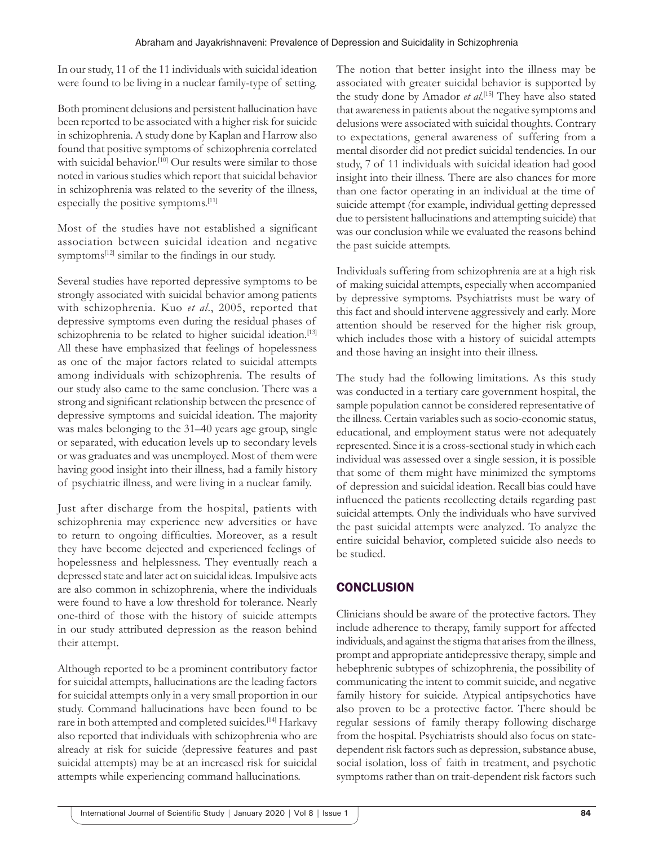In our study, 11 of the 11 individuals with suicidal ideation were found to be living in a nuclear family-type of setting.

Both prominent delusions and persistent hallucination have been reported to be associated with a higher risk for suicide in schizophrenia. A study done by Kaplan and Harrow also found that positive symptoms of schizophrenia correlated with suicidal behavior.<sup>[10]</sup> Our results were similar to those noted in various studies which report that suicidal behavior in schizophrenia was related to the severity of the illness, especially the positive symptoms.[11]

Most of the studies have not established a significant association between suicidal ideation and negative symptoms<sup>[12]</sup> similar to the findings in our study.

Several studies have reported depressive symptoms to be strongly associated with suicidal behavior among patients with schizophrenia. Kuo *et al*., 2005, reported that depressive symptoms even during the residual phases of schizophrenia to be related to higher suicidal ideation.<sup>[13]</sup> All these have emphasized that feelings of hopelessness as one of the major factors related to suicidal attempts among individuals with schizophrenia. The results of our study also came to the same conclusion. There was a strong and significant relationship between the presence of depressive symptoms and suicidal ideation. The majority was males belonging to the 31–40 years age group, single or separated, with education levels up to secondary levels or was graduates and was unemployed. Most of them were having good insight into their illness, had a family history of psychiatric illness, and were living in a nuclear family.

Just after discharge from the hospital, patients with schizophrenia may experience new adversities or have to return to ongoing difficulties. Moreover, as a result they have become dejected and experienced feelings of hopelessness and helplessness. They eventually reach a depressed state and later act on suicidal ideas. Impulsive acts are also common in schizophrenia, where the individuals were found to have a low threshold for tolerance. Nearly one-third of those with the history of suicide attempts in our study attributed depression as the reason behind their attempt.

Although reported to be a prominent contributory factor for suicidal attempts, hallucinations are the leading factors for suicidal attempts only in a very small proportion in our study. Command hallucinations have been found to be rare in both attempted and completed suicides.[14] Harkavy also reported that individuals with schizophrenia who are already at risk for suicide (depressive features and past suicidal attempts) may be at an increased risk for suicidal attempts while experiencing command hallucinations.

The notion that better insight into the illness may be associated with greater suicidal behavior is supported by the study done by Amador *et al*. [15] They have also stated that awareness in patients about the negative symptoms and delusions were associated with suicidal thoughts. Contrary to expectations, general awareness of suffering from a mental disorder did not predict suicidal tendencies. In our study, 7 of 11 individuals with suicidal ideation had good insight into their illness. There are also chances for more than one factor operating in an individual at the time of suicide attempt (for example, individual getting depressed due to persistent hallucinations and attempting suicide) that was our conclusion while we evaluated the reasons behind the past suicide attempts.

Individuals suffering from schizophrenia are at a high risk of making suicidal attempts, especially when accompanied by depressive symptoms. Psychiatrists must be wary of this fact and should intervene aggressively and early. More attention should be reserved for the higher risk group, which includes those with a history of suicidal attempts and those having an insight into their illness.

The study had the following limitations. As this study was conducted in a tertiary care government hospital, the sample population cannot be considered representative of the illness. Certain variables such as socio-economic status, educational, and employment status were not adequately represented. Since it is a cross-sectional study in which each individual was assessed over a single session, it is possible that some of them might have minimized the symptoms of depression and suicidal ideation. Recall bias could have influenced the patients recollecting details regarding past suicidal attempts. Only the individuals who have survived the past suicidal attempts were analyzed. To analyze the entire suicidal behavior, completed suicide also needs to be studied.

## **CONCLUSION**

Clinicians should be aware of the protective factors. They include adherence to therapy, family support for affected individuals, and against the stigma that arises from the illness, prompt and appropriate antidepressive therapy, simple and hebephrenic subtypes of schizophrenia, the possibility of communicating the intent to commit suicide, and negative family history for suicide. Atypical antipsychotics have also proven to be a protective factor. There should be regular sessions of family therapy following discharge from the hospital. Psychiatrists should also focus on statedependent risk factors such as depression, substance abuse, social isolation, loss of faith in treatment, and psychotic symptoms rather than on trait-dependent risk factors such